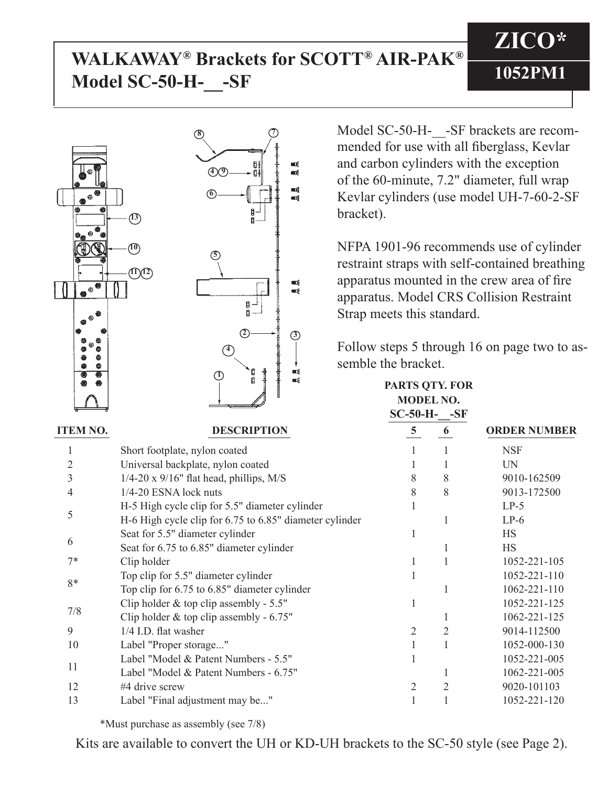## **WALKAWAY® Brackets for SCOTT® AIR-PAK® Model SC-50-H-\_\_-SF**



Model SC-50-H- -SF brackets are recommended for use with all fiberglass, Kevlar and carbon cylinders with the exception of the 60-minute, 7.2" diameter, full wrap Kevlar cylinders (use model UH-7-60-2-SF

**ZICO\***

**1052PM1**

NFPA 1901-96 recommends use of cylinder restraint straps with self-contained breathing apparatus mounted in the crew area of fire apparatus. Model CRS Collision Restraint Strap meets this standard.

Follow steps 5 through 16 on page two to assemble the bracket.

|                 |                                                         | <b>MODEL NO.</b><br>$SC-50-H-$ -SF |   |                     |
|-----------------|---------------------------------------------------------|------------------------------------|---|---------------------|
| <b>ITEM NO.</b> | <b>DESCRIPTION</b>                                      | $\overline{5}$                     | 6 | <b>ORDER NUMBER</b> |
|                 | Short footplate, nylon coated                           |                                    |   | <b>NSF</b>          |
|                 | Universal backplate, nylon coated                       |                                    |   | <b>UN</b>           |
| 3               | $1/4$ -20 x 9/16" flat head, phillips, M/S              | 8                                  | 8 | 9010-162509         |
| 4               | 1/4-20 ESNA lock nuts                                   | 8                                  | 8 | 9013-172500         |
| 5               | H-5 High cycle clip for 5.5" diameter cylinder          |                                    |   | $LP-5$              |
|                 | H-6 High cycle clip for 6.75 to 6.85" diameter cylinder |                                    |   | $LP-6$              |
| 6               | Seat for 5.5" diameter cylinder                         |                                    |   | HS                  |
|                 | Seat for 6.75 to 6.85" diameter cylinder                |                                    |   | <b>HS</b>           |
| $7*$            | Clip holder                                             |                                    |   | 1052-221-105        |
| 8*              | Top clip for 5.5" diameter cylinder                     |                                    |   | 1052-221-110        |
|                 | Top clip for 6.75 to 6.85" diameter cylinder            |                                    |   | 1062-221-110        |
| 7/8             | Clip holder & top clip assembly - $5.5"$                |                                    |   | 1052-221-125        |
|                 | Clip holder $&$ top clip assembly - 6.75"               |                                    |   | 1062-221-125        |
| 9               | 1/4 I.D. flat washer                                    | 2                                  | 2 | 9014-112500         |
| 10              | Label "Proper storage"                                  |                                    |   | 1052-000-130        |
| 11              | Label "Model & Patent Numbers - 5.5"                    |                                    |   | 1052-221-005        |
|                 | Label "Model & Patent Numbers - 6.75"                   |                                    |   | 1062-221-005        |
| 12              | #4 drive screw                                          | 2                                  |   | 9020-101103         |
| 13              | Label "Final adjustment may be"                         |                                    |   | 1052-221-120        |

\*Must purchase as assembly (see 7/8)

Kits are available to convert the UH or KD-UH brackets to the SC-50 style (see Page 2).